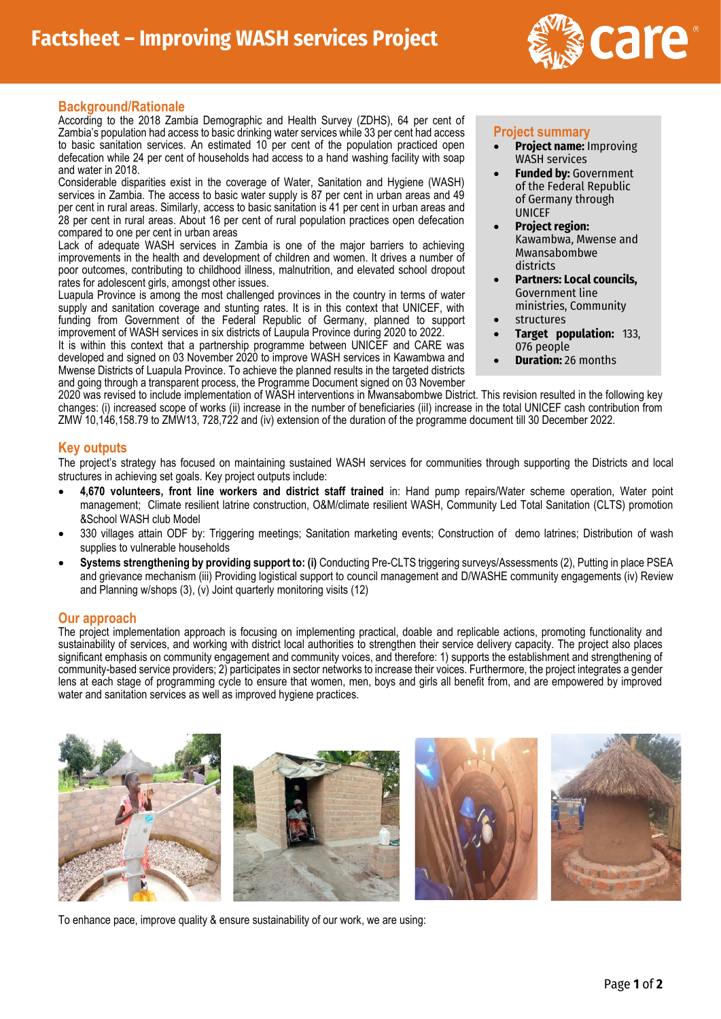

## **Background/Rationale**

According to the 2018 Zambia Demographic and Health Survey (ZDHS), 64 per cent of Zambia's population had access to basic drinking water services while 33 per cent had access to basic sanitation services. An estimated 10 per cent of the population practiced open defecation while 24 per cent of households had access to a hand washing facility with soap and water in 2018.

Considerable disparities exist in the coverage of Water, Sanitation and Hygiene (WASH) services in Zambia. The access to basic water supply is 87 per cent in urban areas and 49 per cent in rural areas. Similarly, access to basic sanitation is 41 per cent in urban areas and 28 per cent in rural areas. About 16 per cent of rural population practices open defecation compared to one per cent in urban areas

Lack of adequate WASH services in Zambia is one of the major barriers to achieving improvements in the health and development of children and women. It drives a number of poor outcomes, contributing to childhood illness, malnutrition, and elevated school dropout rates for adolescent girls, amongst other issues.

Luapula Province is among the most challenged provinces in the country in terms of water supply and sanitation coverage and stunting rates. It is in this context that UNICEF, with funding from Government of the Federal Republic of Germany, planned to support improvement of WASH services in six districts of Laupula Province during 2020 to 2022.

It is within this context that a partnership programme between UNICEF and CARE was developed and signed on 03 November 2020 to improve WASH services in Kawambwa and Mwense Districts of Luapula Province. To achieve the planned results in the targeted districts and going through a transparent process, the Programme Document signed on 03 November

#### **Project summary**

- **Project name:** Improving WASH services
- **Funded by: Government** of the Federal Republic of Germany through UNICEF
- **Project region:**  Kawambwa, Mwense and Mwansabombwe districts
- **Partners: Local councils,**  Government line ministries, Community
- **structures**
- **Target population:** 133, 076 people
- **Duration:** 26 months

2020 was revised to include implementation of WASH interventions in Mwansabombwe District. This revision resulted in the following key changes: (i) increased scope of works (ii) increase in the number of beneficiaries (iiI) increase in the total UNICEF cash contribution from ZMW 10,146,158.79 to ZMW13, 728,722 and (iv) extension of the duration of the programme document till 30 December 2022.

#### **Key outputs**

The project's strategy has focused on maintaining sustained WASH services for communities through supporting the Districts and local structures in achieving set goals. Key project outputs include:

- **4,670 volunteers, front line workers and district staff trained** in: Hand pump repairs/Water scheme operation, Water point management; Climate resilient latrine construction, O&M/climate resilient WASH, Community Led Total Sanitation (CLTS) promotion &School WASH club Model
- 330 villages attain ODF by: Triggering meetings; Sanitation marketing events; Construction of demo latrines; Distribution of wash supplies to vulnerable households
- **Systems strengthening by providing support to: (i)** Conducting Pre-CLTS triggering surveys/Assessments (2), Putting in place PSEA and grievance mechanism (iii) Providing logistical support to council management and D/WASHE community engagements (iv) Review and Planning w/shops (3), (v) Joint quarterly monitoring visits (12)

### **Our approach**

The project implementation approach is focusing on implementing practical, doable and replicable actions, promoting functionality and sustainability of services, and working with district local authorities to strengthen their service delivery capacity. The project also places significant emphasis on community engagement and community voices, and therefore: 1) supports the establishment and strengthening of community-based service providers; 2) participates in sector networks to increase their voices. Furthermore, the project integrates a gender lens at each stage of programming cycle to ensure that women, men, boys and girls all benefit from, and are empowered by improved water and sanitation services as well as improved hygiene practices.



To enhance pace, improve quality & ensure sustainability of our work, we are using: